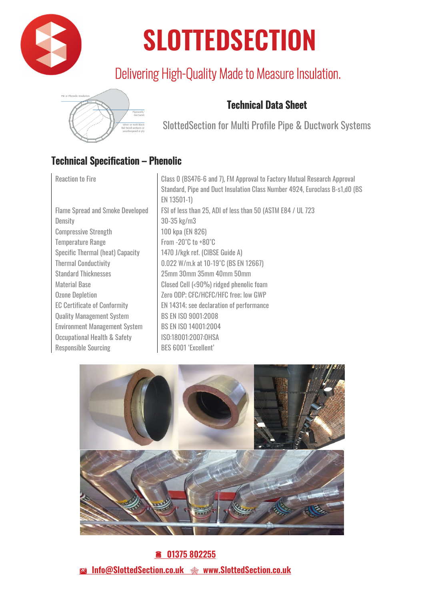

# **SLOTTEDSECTION**

## Delivering High-Quality Made to Measure Insulation.



### Technical Data Sheet

SlottedSection for Multi Profile Pipe & Ductwork Systems

### Technical Specification – Phenolic

| <b>Reaction to Fire</b>                 | Class 0 (BS476-6 and 7), FM Approval to Factory Mutual Research Approval     |
|-----------------------------------------|------------------------------------------------------------------------------|
|                                         | Standard, Pipe and Duct Insulation Class Number 4924, Euroclass B-s1,d0 (BS) |
|                                         | EN 13501-1)                                                                  |
| <b>Flame Spread and Smoke Developed</b> | FSI of less than 25, ADI of less than 50 (ASTM E84 / UL 723)                 |
| Density                                 | $30 - 35$ kg/m $3$                                                           |
| <b>Compressive Strength</b>             | 100 kpa (EN 826)                                                             |
| <b>Temperature Range</b>                | From $-20^{\circ}$ C to $+80^{\circ}$ C                                      |
| <b>Specific Thermal (heat) Capacity</b> | 1470 J/kgk ref. (CIBSE Guide A)                                              |
| <b>Thermal Conductivity</b>             | 0.022 W/m.k at 10-19°C (BS EN 12667)                                         |
| <b>Standard Thicknesses</b>             | 25mm 30mm 35mm 40mm 50mm                                                     |
| Material Base                           | Closed Cell (<90%) ridged phenolic foam                                      |
| <b>Ozone Depletion</b>                  | Zero ODP; CFC/HCFC/HFC free; low GWP                                         |
| <b>EC Certificate of Conformity</b>     | EN 14314; see declaration of performance                                     |
| <b>Quality Management System</b>        | <b>BS EN ISO 9001:2008</b>                                                   |
| <b>Environment Management System</b>    | BS EN ISO 14001:2004                                                         |
| <b>Occupational Health &amp; Safety</b> | ISO:18001:2007:0HSA                                                          |
| <b>Responsible Sourcing</b>             | <b>BES 6001 'Excellent'</b>                                                  |
|                                         |                                                                              |



 **01375 802255**  - **Info@SlottedSection.co.uk www.SlottedSection.co.uk**